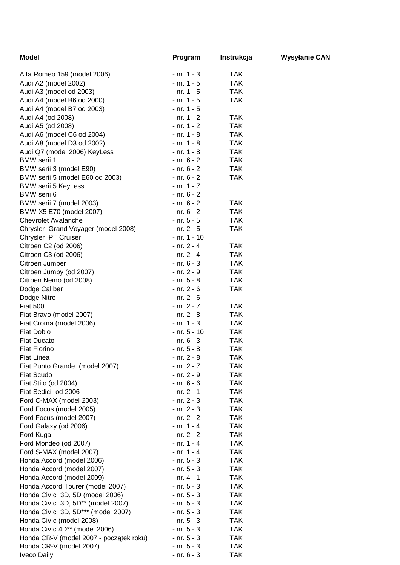| <b>Model</b>                            | Program          | Instrukcja | <b>Wysyłanie CAN</b> |
|-----------------------------------------|------------------|------------|----------------------|
| Alfa Romeo 159 (model 2006)             | $- nr. 1 - 3$    | <b>TAK</b> |                      |
| Audi A2 (model 2002)                    | $- nr. 1 - 5$    | <b>TAK</b> |                      |
| Audi A3 (model od 2003)                 | $- nr. 1 - 5$    | <b>TAK</b> |                      |
| Audi A4 (model B6 od 2000)              | $- nr. 1 - 5$    | <b>TAK</b> |                      |
| Audi A4 (model B7 od 2003)              | $- nr. 1 - 5$    |            |                      |
| Audi A4 (od 2008)                       | $- nr. 1 - 2$    | <b>TAK</b> |                      |
| Audi A5 (od 2008)                       | $- nr. 1 - 2$    | <b>TAK</b> |                      |
| Audi A6 (model C6 od 2004)              | $- nr. 1 - 8$    | <b>TAK</b> |                      |
| Audi A8 (model D3 od 2002)              | $- nr. 1 - 8$    | <b>TAK</b> |                      |
| Audi Q7 (model 2006) KeyLess            | $- nr. 1 - 8$    | <b>TAK</b> |                      |
| <b>BMW</b> serii 1                      | $- nr. 6 - 2$    | <b>TAK</b> |                      |
| BMW serii 3 (model E90)                 | $- nr. 6 - 2$    | <b>TAK</b> |                      |
| BMW serii 5 (model E60 od 2003)         | $- nr. 6 - 2$    | <b>TAK</b> |                      |
| <b>BMW serii 5 KeyLess</b>              | $- nr. 1 - 7$    |            |                      |
| BMW serii 6                             | $- nr. 6 - 2$    |            |                      |
| BMW serii 7 (model 2003)                | $- nr. 6 - 2$    | <b>TAK</b> |                      |
| BMW X5 E70 (model 2007)                 | $- nr. 6 - 2$    | <b>TAK</b> |                      |
| <b>Chevrolet Avalanche</b>              | $-$ nr. 5 $-$ 5  | <b>TAK</b> |                      |
| Chrysler Grand Voyager (model 2008)     | $- nr. 2 - 5$    | <b>TAK</b> |                      |
| Chrysler PT Cruiser                     | $- nr. 1 - 10$   |            |                      |
| Citroen C2 (od 2006)                    | $- nr. 2 - 4$    | <b>TAK</b> |                      |
| Citroen C3 (od 2006)                    | $- nr. 2 - 4$    | <b>TAK</b> |                      |
| Citroen Jumper                          | $- nr. 6 - 3$    | <b>TAK</b> |                      |
| Citroen Jumpy (od 2007)                 | $- nr. 2 - 9$    | <b>TAK</b> |                      |
| Citroen Nemo (od 2008)                  | $- nr. 5 - 8$    | <b>TAK</b> |                      |
| Dodge Caliber                           | $- nr. 2 - 6$    | <b>TAK</b> |                      |
| Dodge Nitro                             | $- nr. 2 - 6$    |            |                      |
| <b>Fiat 500</b>                         | $- nr. 2 - 7$    | <b>TAK</b> |                      |
| Fiat Bravo (model 2007)                 | $- nr. 2 - 8$    | <b>TAK</b> |                      |
| Fiat Croma (model 2006)                 | $- nr. 1 - 3$    | <b>TAK</b> |                      |
| Fiat Doblo                              | $-$ nr. 5 $-$ 10 | <b>TAK</b> |                      |
| <b>Fiat Ducato</b>                      | $- nr. 6 - 3$    | <b>TAK</b> |                      |
| <b>Fiat Fiorino</b>                     | $- nr. 5 - 8$    | <b>TAK</b> |                      |
| <b>Fiat Linea</b>                       | $- nr. 2 - 8$    | <b>TAK</b> |                      |
| Fiat Punto Grande (model 2007)          | $- nr. 2 - 7$    | <b>TAK</b> |                      |
| <b>Fiat Scudo</b>                       | $- nr. 2 - 9$    | <b>TAK</b> |                      |
| Fiat Stilo (od 2004)                    | $- nr. 6 - 6$    | <b>TAK</b> |                      |
| Fiat Sedici od 2006                     | $- nr. 2 - 1$    | <b>TAK</b> |                      |
| Ford C-MAX (model 2003)                 | $- nr. 2 - 3$    | <b>TAK</b> |                      |
| Ford Focus (model 2005)                 | $- nr. 2 - 3$    | <b>TAK</b> |                      |
| Ford Focus (model 2007)                 | $- nr. 2 - 2$    | <b>TAK</b> |                      |
| Ford Galaxy (od 2006)                   | $- nr. 1 - 4$    | <b>TAK</b> |                      |
| Ford Kuga                               | $- nr. 2 - 2$    | <b>TAK</b> |                      |
| Ford Mondeo (od 2007)                   | $- nr. 1 - 4$    | <b>TAK</b> |                      |
| Ford S-MAX (model 2007)                 | $- nr. 1 - 4$    | <b>TAK</b> |                      |
| Honda Accord (model 2006)               | $- nr. 5 - 3$    | <b>TAK</b> |                      |
| Honda Accord (model 2007)               | $- nr. 5 - 3$    | <b>TAK</b> |                      |
| Honda Accord (model 2009)               | $- nr. 4 - 1$    | <b>TAK</b> |                      |
| Honda Accord Tourer (model 2007)        | $- nr. 5 - 3$    | <b>TAK</b> |                      |
| Honda Civic 3D, 5D (model 2006)         | $- nr. 5 - 3$    | <b>TAK</b> |                      |
| Honda Civic 3D, 5D** (model 2007)       | $- nr. 5 - 3$    | <b>TAK</b> |                      |
| Honda Civic 3D, 5D*** (model 2007)      | $- nr. 5 - 3$    | <b>TAK</b> |                      |
| Honda Civic (model 2008)                | $- nr. 5 - 3$    | <b>TAK</b> |                      |
| Honda Civic 4D** (model 2006)           | $- nr. 5 - 3$    | <b>TAK</b> |                      |
| Honda CR-V (model 2007 - początek roku) | $- nr. 5 - 3$    | <b>TAK</b> |                      |
| Honda CR-V (model 2007)                 | $- nr. 5 - 3$    | <b>TAK</b> |                      |
| <b>Iveco Daily</b>                      | $- nr. 6 - 3$    | <b>TAK</b> |                      |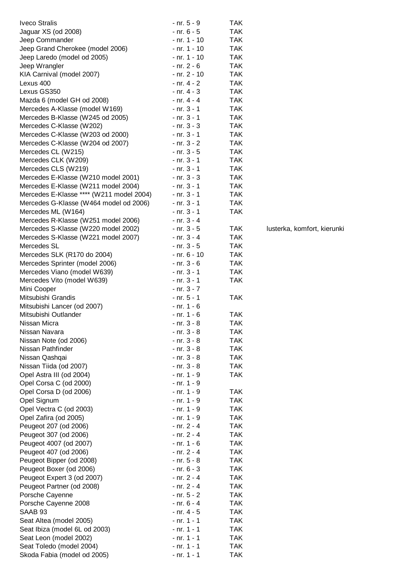| <b>Iveco Stralis</b>                     | $- nr. 5 - 9$  | TAK.       |                             |
|------------------------------------------|----------------|------------|-----------------------------|
| Jaguar XS (od 2008)                      | $- nr. 6 - 5$  | <b>TAK</b> |                             |
| Jeep Commander                           | $- nr. 1 - 10$ | <b>TAK</b> |                             |
| Jeep Grand Cherokee (model 2006)         | $- nr. 1 - 10$ | <b>TAK</b> |                             |
| Jeep Laredo (model od 2005)              | $- nr. 1 - 10$ | <b>TAK</b> |                             |
| Jeep Wrangler                            | - nr. 2 - 6    | <b>TAK</b> |                             |
| KIA Carnival (model 2007)                | - nr. 2 - 10   | <b>TAK</b> |                             |
| Lexus 400                                | $- nr. 4 - 2$  | <b>TAK</b> |                             |
| Lexus GS350                              | $- nr. 4 - 3$  | <b>TAK</b> |                             |
| Mazda 6 (model GH od 2008)               | $- nr. 4 - 4$  | <b>TAK</b> |                             |
| Mercedes A-Klasse (model W169)           | $- nr. 3 - 1$  | <b>TAK</b> |                             |
| Mercedes B-Klasse (W245 od 2005)         | $- nr. 3 - 1$  | <b>TAK</b> |                             |
| Mercedes C-Klasse (W202)                 | $- nr. 3 - 3$  | <b>TAK</b> |                             |
| Mercedes C-Klasse (W203 od 2000)         | $- nr. 3 - 1$  | <b>TAK</b> |                             |
| Mercedes C-Klasse (W204 od 2007)         | $- nr. 3 - 2$  | <b>TAK</b> |                             |
| Mercedes CL (W215)                       | $- nr. 3 - 5$  | <b>TAK</b> |                             |
| Mercedes CLK (W209)                      | $- nr. 3 - 1$  | <b>TAK</b> |                             |
| Mercedes CLS (W219)                      | $- nr. 3 - 1$  | <b>TAK</b> |                             |
| Mercedes E-Klasse (W210 model 2001)      | $- nr. 3 - 3$  | <b>TAK</b> |                             |
| Mercedes E-Klasse (W211 model 2004)      | $- nr. 3 - 1$  | <b>TAK</b> |                             |
| Mercedes E-Klasse **** (W211 model 2004) | $- nr. 3 - 1$  | <b>TAK</b> |                             |
| Mercedes G-Klasse (W464 model od 2006)   | $- nr. 3 - 1$  | <b>TAK</b> |                             |
| Mercedes ML (W164)                       | $- nr. 3 - 1$  | <b>TAK</b> |                             |
| Mercedes R-Klasse (W251 model 2006)      | $- nr. 3 - 4$  |            |                             |
| Mercedes S-Klasse (W220 model 2002)      | $- nr. 3 - 5$  | <b>TAK</b> | lusterka, komfort, kierunki |
| Mercedes S-Klasse (W221 model 2007)      | $- nr. 3 - 4$  | <b>TAK</b> |                             |
| Mercedes SL                              | $- nr. 3 - 5$  | <b>TAK</b> |                             |
| Mercedes SLK (R170 do 2004)              | - nr. 6 - 10   | <b>TAK</b> |                             |
| Mercedes Sprinter (model 2006)           | - nr. 3 - 6    | <b>TAK</b> |                             |
| Mercedes Viano (model W639)              | $- nr. 3 - 1$  | <b>TAK</b> |                             |
| Mercedes Vito (model W639)               | $- nr. 3 - 1$  | <b>TAK</b> |                             |
| Mini Cooper                              | $- nr. 3 - 7$  |            |                             |
| Mitsubishi Grandis                       | $- nr. 5 - 1$  | <b>TAK</b> |                             |
| Mitsubishi Lancer (od 2007)              | $- nr. 1 - 6$  |            |                             |
| Mitsubishi Outlander                     | $- nr. 1 - 6$  | <b>TAK</b> |                             |
| Nissan Micra                             | $- nr. 3 - 8$  | TAK        |                             |
| Nissan Navara                            | $- nr. 3 - 8$  | TAK        |                             |
| Nissan Note (od 2006)                    | $- nr. 3 - 8$  | <b>TAK</b> |                             |
| Nissan Pathfinder                        | $- nr. 3 - 8$  | <b>TAK</b> |                             |
| Nissan Qashqai                           | $- nr. 3 - 8$  | <b>TAK</b> |                             |
| Nissan Tiida (od 2007)                   | $- nr. 3 - 8$  | <b>TAK</b> |                             |
| Opel Astra III (od 2004)                 | $- nr. 1 - 9$  | <b>TAK</b> |                             |
| Opel Corsa C (od 2000)                   | $- nr. 1 - 9$  |            |                             |
| Opel Corsa D (od 2006)                   | $- nr. 1 - 9$  | TAK        |                             |
| Opel Signum                              | $- nr. 1 - 9$  | <b>TAK</b> |                             |
| Opel Vectra C (od 2003)                  | $- nr. 1 - 9$  | <b>TAK</b> |                             |
| Opel Zafira (od 2005)                    | $- nr. 1 - 9$  | <b>TAK</b> |                             |
| Peugeot 207 (od 2006)                    | $- nr. 2 - 4$  | <b>TAK</b> |                             |
| Peugeot 307 (od 2006)                    | $- nr. 2 - 4$  | <b>TAK</b> |                             |
| Peugeot 4007 (od 2007)                   | $- nr. 1 - 6$  | <b>TAK</b> |                             |
| Peugeot 407 (od 2006)                    | $- nr. 2 - 4$  | <b>TAK</b> |                             |
| Peugeot Bipper (od 2008)                 | $- nr. 5 - 8$  | <b>TAK</b> |                             |
| Peugeot Boxer (od 2006)                  | $- nr. 6 - 3$  | <b>TAK</b> |                             |
| Peugeot Expert 3 (od 2007)               | $- nr. 2 - 4$  | <b>TAK</b> |                             |
| Peugeot Partner (od 2008)                | $- nr. 2 - 4$  | <b>TAK</b> |                             |
| Porsche Cayenne                          | $- nr. 5 - 2$  | <b>TAK</b> |                             |
| Porsche Cayenne 2008                     | $- nr. 6 - 4$  | <b>TAK</b> |                             |
| SAAB <sub>93</sub>                       | $- nr. 4 - 5$  | <b>TAK</b> |                             |
| Seat Altea (model 2005)                  | $- nr. 1 - 1$  | <b>TAK</b> |                             |
| Seat Ibiza (model 6L od 2003)            | $- nr. 1 - 1$  | <b>TAK</b> |                             |
| Seat Leon (model 2002)                   | $- nr. 1 - 1$  | <b>TAK</b> |                             |
| Seat Toledo (model 2004)                 | $- nr. 1 - 1$  | <b>TAK</b> |                             |
| Skoda Fabia (model od 2005)              | $- nr. 1 - 1$  | <b>TAK</b> |                             |